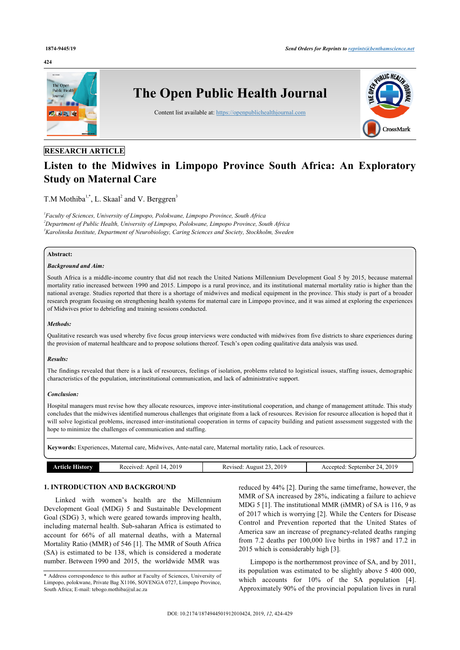#### **424**



# **RESEARCH ARTICLE**

# **Listen to the Midwives in Limpopo Province South Africa: An Exploratory Study on Maternal Care**

T.M Mothiba<sup>[1](#page-0-0),[\\*](#page-0-1)</sup>, L. Skaal<sup>[2](#page-0-2)</sup> and V. Berggren<sup>[3](#page-0-3)</sup>

<span id="page-0-3"></span><span id="page-0-2"></span><span id="page-0-0"></span>*1 Faculty of Sciences, University of Limpopo, Polokwane, Limpopo Province, South Africa <sup>2</sup>Department of Public Health, University of Limpopo, Polokwane, Limpopo Province, South Africa <sup>3</sup>Karolinska Institute, Department of Neurobiology, Caring Sciences and Society, Stockholm, Sweden*

### **Abstract:**

# *Background and Aim:*

South Africa is a middle-income country that did not reach the United Nations Millennium Development Goal 5 by 2015, because maternal mortality ratio increased between 1990 and 2015. Limpopo is a rural province, and its institutional maternal mortality ratio is higher than the national average. Studies reported that there is a shortage of midwives and medical equipment in the province. This study is part of a broader research program focusing on strengthening health systems for maternal care in Limpopo province, and it was aimed at exploring the experiences of Midwives prior to debriefing and training sessions conducted.

#### *Methods:*

Qualitative research was used whereby five focus group interviews were conducted with midwives from five districts to share experiences during the provision of maternal healthcare and to propose solutions thereof. Tesch's open coding qualitative data analysis was used.

#### *Results:*

The findings revealed that there is a lack of resources, feelings of isolation, problems related to logistical issues, staffing issues, demographic characteristics of the population, interinstitutional communication, and lack of administrative support.

#### *Conclusion:*

Hospital managers must revise how they allocate resources, improve inter-institutional cooperation, and change of management attitude. This study concludes that the midwives identified numerous challenges that originate from a lack of resources. Revision for resource allocation is hoped that it will solve logistical problems, increased inter-institutional cooperation in terms of capacity building and patient assessment suggested with the hope to minimize the challenges of communication and staffing.

**Keywords:** Experiences, Maternal care, Midwives, Ante-natal care, Maternal mortality ratio, Lack of resources.

| Article History | 2019<br>Received:<br>April<br>14 | .2019<br>Revised: August $23$ , | : September 24, 2019<br>Accepted: |
|-----------------|----------------------------------|---------------------------------|-----------------------------------|

# **1. INTRODUCTION AND BACKGROUND**

Linked with women's health are the Millennium Development Goal (MDG) 5 and Sustainable Development Goal (SDG) 3, which were geared towards improving health, including maternal health. Sub-saharan Africa is estimated to account for 66% of all maternal deaths, with a Maternal Mortality Ratio (MMR) of 546 [[1](#page-5-0)]. The MMR of South Africa (SA) is estimated to be 138, which is considered a moderate number. Between 1990 and 2015, the worldwide MMR was

reduced by 44% [[2](#page-5-1)]. During the same timeframe, however, the MMR of SA increased by 28%, indicating a failure to achieve MDG 5 [\[1\]](#page-5-0). The institutional MMR (iMMR) of SA is 116, 9 as of 2017 which is worrying [[2\]](#page-5-1). While the Centers for Disease Control and Prevention reported that the United States of America saw an increase of pregnancy-related deaths ranging from 7.2 deaths per 100,000 live births in 1987 and 17.2 in 2015 which is considerably high [\[3\]](#page-5-2).

Limpopo is the northernmost province of SA, and by 2011, its population was estimated to be slightly above 5 400 000, whichaccounts for  $10\%$  of the SA population [[4](#page-5-3)]. Approximately 90% of the provincial population lives in rural

<span id="page-0-1"></span><sup>\*</sup> Address correspondence to this author at Faculty of Sciences, University of Limpopo, polokwane, Private Bag X1106, SOVENGA 0727, Limpopo Province, South Africa; E-mail: [tebogo.mothiba@ul.ac.za](mailto:tebogo.mothiba@ul.ac.za)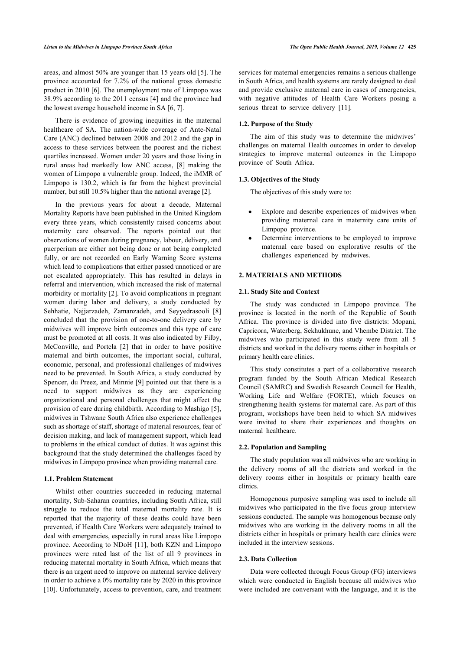areas, and almost 50% are younger than 15 years old [\[5](#page-5-4)]. The province accounted for 7.2% of the national gross domestic product in 2010 [\[6](#page-5-5)]. The unemployment rate of Limpopo was 38.9% according to the 2011 census [[4](#page-5-3)] and the province had the lowest average household income in SA [[6](#page-5-5), [7](#page-5-6)].

There is evidence of growing inequities in the maternal healthcare of SA. The nation-wide coverage of Ante-Natal Care (ANC) declined between 2008 and 2012 and the gap in access to these services between the poorest and the richest quartiles increased. Women under 20 years and those living in rural areas had markedly low ANC access,[[8](#page-5-7)] making the women of Limpopo a vulnerable group. Indeed, the iMMR of Limpopo is 130.2, which is far from the highest provincial number, but still 10.5% higher than the national average [\[2\]](#page-5-1).

In the previous years for about a decade, Maternal Mortality Reports have been published in the United Kingdom every three years, which consistently raised concerns about maternity care observed. The reports pointed out that observations of women during pregnancy, labour, delivery, and puerperium are either not being done or not being completed fully, or are not recorded on Early Warning Score systems which lead to complications that either passed unnoticed or are not escalated appropriately. This has resulted in delays in referral and intervention, which increased the risk of maternal morbidity or mortality [[2](#page-5-1)]. To avoid complications in pregnant women during labor and delivery, a study conducted by Sehhatie, Najjarzadeh, Zamanzadeh, and Seyyedrasooli[[8](#page-5-7)] concluded that the provision of one-to-one delivery care by midwives will improve birth outcomes and this type of care must be promoted at all costs. It was also indicated by Filby, McConville, and Portela [\[2](#page-5-1)] that in order to have positive maternal and birth outcomes, the important social, cultural, economic, personal, and professional challenges of midwives need to be prevented. In South Africa, a study conducted by Spencer, du Preez, and Minnie [[9](#page-5-8)] pointed out that there is a need to support midwives as they are experiencing organizational and personal challenges that might affect the provision of care during childbirth. According to Mashigo [\[5\]](#page-5-4), midwives in Tshwane South Africa also experience challenges such as shortage of staff, shortage of material resources, fear of decision making, and lack of management support, which lead to problems in the ethical conduct of duties. It was against this background that the study determined the challenges faced by midwives in Limpopo province when providing maternal care.

#### **1.1. Problem Statement**

Whilst other countries succeeded in reducing maternal mortality, Sub-Saharan countries, including South Africa, still struggle to reduce the total maternal mortality rate. It is reported that the majority of these deaths could have been prevented, if Health Care Workers were adequately trained to deal with emergencies, especially in rural areas like Limpopo province. According to NDoH [\[11](#page-5-9)], both KZN and Limpopo provinces were rated last of the list of all 9 provinces in reducing maternal mortality in South Africa, which means that there is an urgent need to improve on maternal service delivery in order to achieve a 0% mortality rate by 2020 in this province [[10\]](#page-5-10). Unfortunately, access to prevention, care, and treatment services for maternal emergencies remains a serious challenge in South Africa, and health systems are rarely designed to deal and provide exclusive maternal care in cases of emergencies, with negative attitudes of Health Care Workers posing a serious threat to service delivery [\[11](#page-5-9)].

# **1.2. Purpose of the Study**

The aim of this study was to determine the midwives' challenges on maternal Health outcomes in order to develop strategies to improve maternal outcomes in the Limpopo province of South Africa.

#### **1.3. Objectives of the Study**

The objectives of this study were to:

- Explore and describe experiences of midwives when providing maternal care in maternity care units of Limpopo province.
- Determine interventions to be employed to improve maternal care based on explorative results of the challenges experienced by midwives.

#### **2. MATERIALS AND METHODS**

#### **2.1. Study Site and Context**

The study was conducted in Limpopo province. The province is located in the north of the Republic of South Africa. The province is divided into five districts: Mopani, Capricorn, Waterberg, Sekhukhune, and Vhembe District. The midwives who participated in this study were from all 5 districts and worked in the delivery rooms either in hospitals or primary health care clinics.

This study constitutes a part of a collaborative research program funded by the South African Medical Research Council (SAMRC) and Swedish Research Council for Health, Working Life and Welfare (FORTE), which focuses on strengthening health systems for maternal care. As part of this program, workshops have been held to which SA midwives were invited to share their experiences and thoughts on maternal healthcare.

#### **2.2. Population and Sampling**

The study population was all midwives who are working in the delivery rooms of all the districts and worked in the delivery rooms either in hospitals or primary health care clinics.

Homogenous purposive sampling was used to include all midwives who participated in the five focus group interview sessions conducted. The sample was homogenous because only midwives who are working in the delivery rooms in all the districts either in hospitals or primary health care clinics were included in the interview sessions.

#### **2.3. Data Collection**

Data were collected through Focus Group (FG) interviews which were conducted in English because all midwives who were included are conversant with the language, and it is the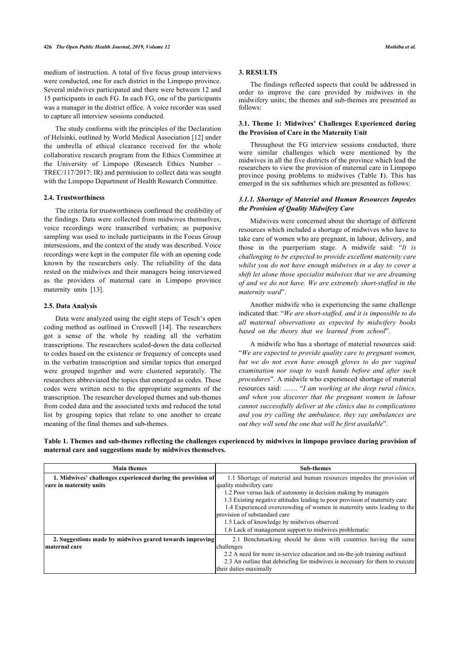medium of instruction. A total of five focus group interviews were conducted, one for each district in the Limpopo province. Several midwives participated and there were between 12 and 15 participants in each FG. In each FG, one of the participants was a manager in the district office. A voice recorder was used to capture all interview sessions conducted.

The study conforms with the principles of the Declaration of Helsinki, outlined by World Medical Association [\[12](#page-5-11)] under the umbrella of ethical clearance received for the whole collaborative research program from the Ethics Committee at the University of Limpopo (Research Ethics Number – TREC/117/2017: IR) and permission to collect data was sought with the Limpopo Department of Health Research Committee.

# **2.4. Trustworthiness**

The criteria for trustworthiness confirmed the credibility of the findings. Data were collected from midwives themselves, voice recordings were transcribed verbatim; as purposive sampling was used to include participants in the Focus Group intersessions, and the context of the study was described. Voice recordings were kept in the computer file with an opening code known by the researchers only. The reliability of the data rested on the midwives and their managers being interviewed as the providers of maternal care in Limpopo province maternity units [\[13](#page-5-12)].

#### **2.5. Data Analysis**

Data were analyzed using the eight steps of Tesch's open coding method as outlined in Creswell [[14\]](#page-5-13). The researchers got a sense of the whole by reading all the verbatim transcriptions. The researchers scaled-down the data collected to codes based on the existence or frequency of concepts used in the verbatim transcription and similar topics that emerged were grouped together and were clustered separately. The researchers abbreviated the topics that emerged as codes. These codes were written next to the appropriate segments of the transcription. The researcher developed themes and sub-themes from coded data and the associated texts and reduced the total list by grouping topics that relate to one another to create meaning of the final themes and sub-themes.

# **3. RESULTS**

The findings reflected aspects that could be addressed in order to improve the care provided by midwives in the midwifery units; the themes and sub-themes are presented as follows:

# **3.1. Theme 1: Midwives' Challenges Experienced during the Provision of Care in the Maternity Unit**

Throughout the FG interview sessions conducted, there were similar challenges which were mentioned by the midwives in all the five districts of the province which lead the researchers to view the provision of maternal care in Limpopo province posing problems to midwives (Table**1**). This has emerged in the six subthemes which are presented as follows:

# *3.1.1. Shortage of Material and Human Resources Impedes the Provision of Quality Midwifery Care*

Midwives were concerned about the shortage of different resources which included a shortage of midwives who have to take care of women who are pregnant, in labour, delivery, and those in the puerperium stage. A midwife said: "*It is challenging to be expected to provide excellent maternity care whilst you do not have enough midwives in a day to cover a shift let alone those specialist midwives that we are dreaming of and we do not have. We are extremely short-staffed in the maternity ward*".

Another midwife who is experiencing the same challenge indicated that: "*We are short-staffed, and it is impossible to do all maternal observations as expected by midwifery books based on the theory that we learned from school*".

A midwife who has a shortage of material resources said: "*We are expected to provide quality care to pregnant women, but we do not even have enough gloves to do per vaginal examination nor soap to wash hands before and after such procedures*". A midwife who experienced shortage of material resources said: …… "*I am working at the deep rural clinics, and when you discover that the pregnant women in labour cannot successfully deliver at the clinics due to complications and you try calling the ambulance, they say ambulances are out they will send the one that will be first available*".

<span id="page-2-0"></span>**Table 1. Themes and sub-themes reflecting the challenges experienced by midwives in limpopo province during provision of maternal care and suggestions made by midwives themselves.**

| <b>Main themes</b>                                          | <b>Sub-themes</b>                                                            |  |
|-------------------------------------------------------------|------------------------------------------------------------------------------|--|
| 1. Midwives' challenges experienced during the provision of | 1.1 Shortage of material and human resources impedes the provision of        |  |
| care in maternity units                                     | quality midwifery care                                                       |  |
|                                                             | 1.2 Poor versus lack of autonomy in decision making by managers              |  |
|                                                             | 1.3 Existing negative attitudes leading to poor provision of maternity care  |  |
|                                                             | 1.4 Experienced overcrowding of women in maternity units leading to the      |  |
|                                                             | provision of substandard care                                                |  |
|                                                             | 1.5 Lack of knowledge by midwives observed                                   |  |
|                                                             | 1.6 Lack of management support to midwives problematic                       |  |
| 2. Suggestions made by midwives geared towards improving    | 2.1 Benchmarking should be done with countries having the same               |  |
| maternal care                                               | challenges                                                                   |  |
|                                                             | 2.2 A need for more in-service education and on-the-job training outlined    |  |
|                                                             | 2.3 An outline that debriefing for midwives is necessary for them to execute |  |
|                                                             | their duties maximally                                                       |  |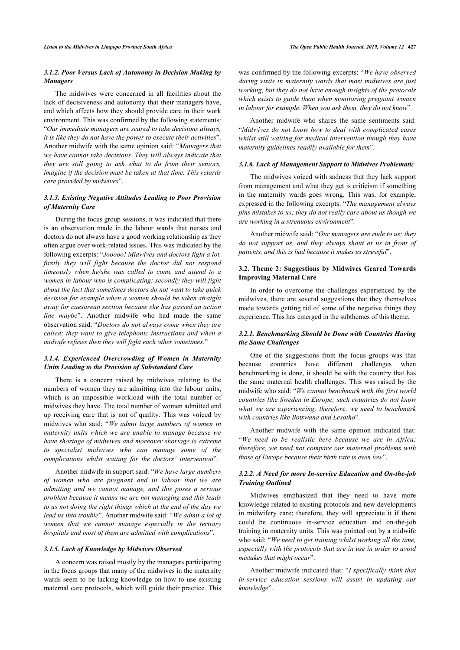# *3.1.2. Poor Versus Lack of Autonomy in Decision Making by Managers*

The midwives were concerned in all facilities about the lack of decisiveness and autonomy that their managers have, and which affects how they should provide care in their work environment. This was confirmed by the following statements: "*Our immediate managers are scared to take decisions always, it is like they do not have the power to execute their activities*". Another midwife with the same opinion said: "*Managers that we have cannot take decisions. They will always indicate that they are still going to ask what to do from their seniors, imagine if the decision must be taken at that time. This retards care provided by midwives*".

# *3.1.3. Existing Negative Attitudes Leading to Poor Provision of Maternity Care*

During the focus group sessions, it was indicated that there is an observation made in the labour wards that nurses and doctors do not always have a good working relationship as they often argue over work-related issues. This was indicated by the following excerpts: "*Jooooo! Midwives and doctors fight a lot, firstly they will fight because the doctor did not respond timeously when he/she was called to come and attend to a women in labour who is complicating; secondly they will fight about the fact that sometimes doctors do not want to take quick decision for example when a women should be taken straight away for caesarean section because she has passed an action line maybe*". Another midwife who had made the same observation said: "*Doctors do not always come when they are called; they want to give telephonic instructions and when a midwife refuses then they will fight each other sometimes.*"

# *3.1.4. Experienced Overcrowding of Women in Maternity Units Leading to the Provision of Substandard Care*

There is a concern raised by midwives relating to the numbers of women they are admitting into the labour units, which is an impossible workload with the total number of midwives they have. The total number of women admitted end up receiving care that is not of quality. This was voiced by midwives who said: "*We admit large numbers of women in maternity units which we are unable to manage because we have shortage of midwives and moreover shortage is extreme to specialist midwives who can manage some of the complications whilst waiting for the doctors' intervention*".

Another midwife in support said: "*We have large numbers of women who are pregnant and in labour that we are admitting and we cannot manage, and this poses a serious problem because it means we are not managing and this leads to us not doing the right things which at the end of the day we lead us into trouble*". Another midwife said: "*We admit a lot of women that we cannot manage especially in the tertiary hospitals and most of them are admitted with complications*".

#### *3.1.5. Lack of Knowledge by Midwives Observed*

A concern was raised mostly by the managers participating in the focus groups that many of the midwives in the maternity wards seem to be lacking knowledge on how to use existing maternal care protocols, which will guide their practice. This

was confirmed by the following excerpts: "*We have observed during visits in maternity wards that most midwives are just working, but they do not have enough insights of the protocols which exists to guide them when monitoring pregnant women in labour for example. When you ask them, they do not know*".

Another midwife who shares the same sentiments said: "*Midwives do not know how to deal with complicated cases whilst still waiting for medical intervention though they have maternity guidelines readily available for them*".

# *3.1.6. Lack of Management Support to Midwives Problematic*

The midwives voiced with sadness that they lack support from management and what they get is criticism if something in the maternity wards goes wrong. This was, for example, expressed in the following excerpts: "*The management always pins mistakes to us; they do not really care about us though we are working in a strenuous environment*".

Another midwife said: "*Our managers are rude to us; they do not support us, and they always shout at us in front of patients, and this is bad because it makes us stressful*".

# **3.2. Theme 2: Suggestions by Midwives Geared Towards Improving Maternal Care**

In order to overcome the challenges experienced by the midwives, there are several suggestions that they themselves made towards getting rid of some of the negative things they experience. This has emerged in the subthemes of this theme.

# *3.2.1. Benchmarking Should be Done with Countries Having the Same Challenges*

One of the suggestions from the focus groups was that because countries have different challenges when benchmarking is done, it should be with the country that has the same maternal health challenges. This was raised by the midwife who said: "*We cannot benchmark with the first world countries like Sweden in Europe; such countries do not know what we are experiencing; therefore, we need to benchmark with countries like Botswana and Lesotho*".

Another midwife with the same opinion indicated that: "*We need to be realistic here because we are in Africa; therefore, we need not compare our maternal problems with those of Europe because their birth rate is even low*".

# *3.2.2. A Need for more In-service Education and On-the-job Training Outlined*

Midwives emphasized that they need to have more knowledge related to existing protocols and new developments in midwifery care; therefore, they will appreciate it if there could be continuous in-service education and on-the-job training in maternity units. This was pointed out by a midwife who said: "*We need to get training whilst working all the time, especially with the protocols that are in use in order to avoid mistakes that might occur*".

Another midwife indicated that: "*I specifically think that in-service education sessions will assist in updating our knowledge*".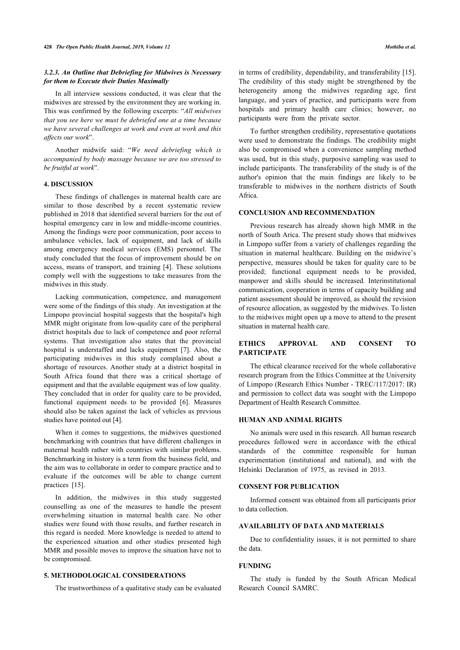# *3.2.3. An Outline that Debriefing for Midwives is Necessary for them to Execute their Duties Maximally*

In all interview sessions conducted, it was clear that the midwives are stressed by the environment they are working in. This was confirmed by the following excerpts: "*All midwives that you see here we must be debriefed one at a time because we have several challenges at work and even at work and this affects our work*".

Another midwife said: "*We need debriefing which is accompanied by body massage because we are too stressed to be fruitful at work*".

### **4. DISCUSSION**

These findings of challenges in maternal health care are similar to those described by a recent systematic review published in 2018 that identified several barriers for the out of hospital emergency care in low and middle-income countries. Among the findings were poor communication, poor access to ambulance vehicles, lack of equipment, and lack of skills among emergency medical services (EMS) personnel. The study concluded that the focus of improvement should be on access, means of transport, and training [\[4\]](#page-5-3). These solutions comply well with the suggestions to take measures from the midwives in this study.

Lacking communication, competence, and management were some of the findings of this study. An investigation at the Limpopo provincial hospital suggests that the hospital's high MMR might originate from low-quality care of the peripheral district hospitals due to lack of competence and poor referral systems. That investigation also states that the provincial hospital is understaffed and lacks equipment [\[7\]](#page-5-6). Also, the participating midwives in this study complained about a shortage of resources. Another study at a district hospital in South Africa found that there was a critical shortage of equipment and that the available equipment was of low quality. They concluded that in order for quality care to be provided, functional equipment needs to be provided[[6\]](#page-5-5). Measures should also be taken against the lack of vehicles as previous studies have pointed out [\[4\]](#page-5-3).

When it comes to suggestions, the midwives questioned benchmarking with countries that have different challenges in maternal health rather with countries with similar problems. Benchmarking in history is a term from the business field, and the aim was to collaborate in order to compare practice and to evaluate if the outcomes will be able to change current practices[[15\]](#page-5-14).

In addition, the midwives in this study suggested counselling as one of the measures to handle the present overwhelming situation in maternal health care. No other studies were found with those results, and further research in this regard is needed. More knowledge is needed to attend to the experienced situation and other studies presented high MMR and possible moves to improve the situation have not to be compromised.

### **5. METHODOLOGICAL CONSIDERATIONS**

The trustworthiness of a qualitative study can be evaluated

in terms of credibility, dependability, and transferability [\[15](#page-5-14)]. The credibility of this study might be strengthened by the heterogeneity among the midwives regarding age, first language, and years of practice, and participants were from hospitals and primary health care clinics; however, no participants were from the private sector.

To further strengthen credibility, representative quotations were used to demonstrate the findings. The credibility might also be compromised when a convenience sampling method was used, but in this study, purposive sampling was used to include participants. The transferability of the study is of the author's opinion that the main findings are likely to be transferable to midwives in the northern districts of South Africa.

#### **CONCLUSION AND RECOMMENDATION**

Previous research has already shown high MMR in the north of South Arica. The present study shows that midwives in Limpopo suffer from a variety of challenges regarding the situation in maternal healthcare. Building on the midwive's perspective, measures should be taken for quality care to be provided; functional equipment needs to be provided, manpower and skills should be increased. Interinstitutional communication, cooperation in terms of capacity building and patient assessment should be improved, as should the revision of resource allocation, as suggested by the midwives. To listen to the midwives might open up a move to attend to the present situation in maternal health care.

# **ETHICS APPROVAL AND CONSENT TO PARTICIPATE**

The ethical clearance received for the whole collaborative research program from the Ethics Committee at the University of Limpopo (Research Ethics Number - TREC/117/2017: IR) and permission to collect data was sought with the Limpopo Department of Health Research Committee.

# **HUMAN AND ANIMAL RIGHTS**

No animals were used in this research. All human research procedures followed were in accordance with the ethical standards of the committee responsible for human experimentation (institutional and national), and with the Helsinki Declaration of 1975, as revised in 2013.

# **CONSENT FOR PUBLICATION**

Informed consent was obtained from all participants prior to data collection.

# **AVAILABILITY OF DATA AND MATERIALS**

Due to confidentiality issues, it is not permitted to share the data.

#### **FUNDING**

The study is funded by the South African Medical Research Council SAMRC.